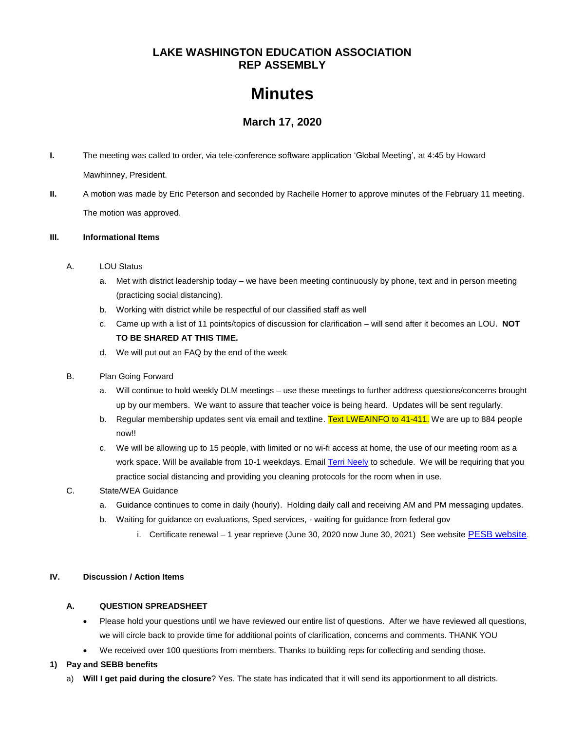## **LAKE WASHINGTON EDUCATION ASSOCIATION REP ASSEMBLY**

# **Minutes**

# **March 17, 2020**

- **I.** The meeting was called to order, via tele-conference software application 'Global Meeting', at 4:45 by Howard Mawhinney, President.
- **II.** A motion was made by Eric Peterson and seconded by Rachelle Horner to approve minutes of the February 11 meeting. The motion was approved.

#### **III. Informational Items**

- A. LOU Status
	- a. Met with district leadership today we have been meeting continuously by phone, text and in person meeting (practicing social distancing).
	- b. Working with district while be respectful of our classified staff as well
	- c. Came up with a list of 11 points/topics of discussion for clarification will send after it becomes an LOU. **NOT TO BE SHARED AT THIS TIME.**
	- d. We will put out an FAQ by the end of the week
- B. Plan Going Forward
	- a. Will continue to hold weekly DLM meetings use these meetings to further address questions/concerns brought up by our members. We want to assure that teacher voice is being heard. Updates will be sent regularly.
	- b. Regular membership updates sent via email and textline. Text LWEAINFO to 41-411. We are up to 884 people now!!
	- c. We will be allowing up to 15 people, with limited or no wi-fi access at home, the use of our meeting room as a work space. Will be available from 10-1 weekdays. Email [Terri Neely](mailto:terrineely@lwsd.org) to schedule. We will be requiring that you practice social distancing and providing you cleaning protocols for the room when in use.
- C. State/WEA Guidance
	- a. Guidance continues to come in daily (hourly). Holding daily call and receiving AM and PM messaging updates.
	- b. Waiting for guidance on evaluations, Sped services, waiting for guidance from federal gov
		- i. Certificate renewal 1 year reprieve (June 30, 2020 now June 30, 2021) See website [PESB website.](https://nam03.safelinks.protection.outlook.com/?url=http%3A%2F%2Fsalsa.wiredforchange.com%2Fdia%2Ftrack.jsp%3Fv%3D2%26c%3D6sw1DQJ%252Bd9rgAimBl9Lp2eeORitZI0bP&data=01%7C01%7Ctneely%40washingtonea.org%7C1f15795ebdb34ccdb3c208d7ca8ee01e%7Cc51bd6ee3b224c0ba0fdfc3c3d347ca7%7C0&sdata=A6H1RvnXyygucW3QM0q%2FzOsBEZx%2FcIHcbQngL%2F35Z5A%3D&reserved=0)

## **IV. Discussion / Action Items**

## **A. QUESTION SPREADSHEET**

- Please hold your questions until we have reviewed our entire list of questions. After we have reviewed all questions, we will circle back to provide time for additional points of clarification, concerns and comments. THANK YOU
- We received over 100 questions from members. Thanks to building reps for collecting and sending those.

## **1) Pay and SEBB benefits**

a) **Will I get paid during the closure**? Yes. The state has indicated that it will send its apportionment to all districts.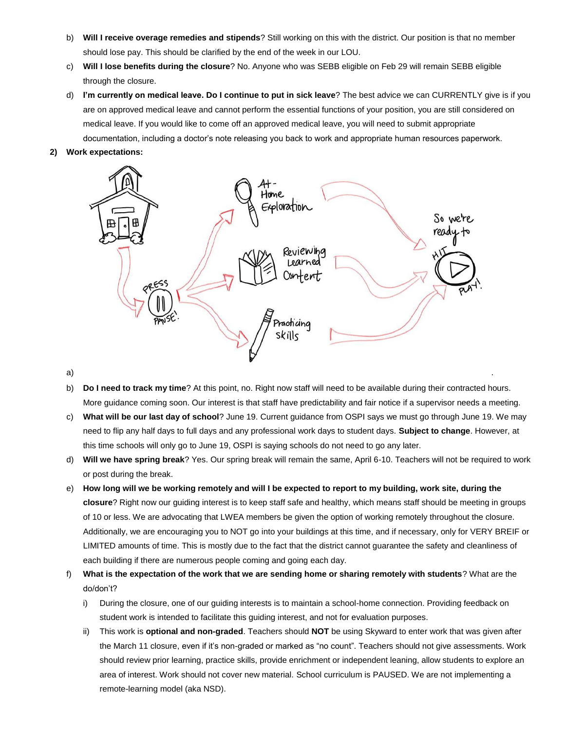- b) **Will I receive overage remedies and stipends**? Still working on this with the district. Our position is that no member should lose pay. This should be clarified by the end of the week in our LOU.
- c) **Will I lose benefits during the closure**? No. Anyone who was SEBB eligible on Feb 29 will remain SEBB eligible through the closure.
- d) **I'm currently on medical leave. Do I continue to put in sick leave**? The best advice we can CURRENTLY give is if you are on approved medical leave and cannot perform the essential functions of your position, you are still considered on medical leave. If you would like to come off an approved medical leave, you will need to submit appropriate documentation, including a doctor's note releasing you back to work and appropriate human resources paperwork.
- **2) Work expectations:**



- b) **Do I need to track my time**? At this point, no. Right now staff will need to be available during their contracted hours. More guidance coming soon. Our interest is that staff have predictability and fair notice if a supervisor needs a meeting.
- c) **What will be our last day of school**? June 19. Current guidance from OSPI says we must go through June 19. We may need to flip any half days to full days and any professional work days to student days. **Subject to change**. However, at this time schools will only go to June 19, OSPI is saying schools do not need to go any later.
- d) **Will we have spring break**? Yes. Our spring break will remain the same, April 6-10. Teachers will not be required to work or post during the break.
- e) **How long will we be working remotely and will I be expected to report to my building, work site, during the closure**? Right now our guiding interest is to keep staff safe and healthy, which means staff should be meeting in groups of 10 or less. We are advocating that LWEA members be given the option of working remotely throughout the closure. Additionally, we are encouraging you to NOT go into your buildings at this time, and if necessary, only for VERY BREIF or LIMITED amounts of time. This is mostly due to the fact that the district cannot guarantee the safety and cleanliness of each building if there are numerous people coming and going each day.
- f) **What is the expectation of the work that we are sending home or sharing remotely with students**? What are the do/don't?
	- i) During the closure, one of our guiding interests is to maintain a school-home connection. Providing feedback on student work is intended to facilitate this guiding interest, and not for evaluation purposes.
	- ii) This work is **optional and non-graded**. Teachers should **NOT** be using Skyward to enter work that was given after the March 11 closure, even if it's non-graded or marked as "no count". Teachers should not give assessments. Work should review prior learning, practice skills, provide enrichment or independent leaning, allow students to explore an area of interest. Work should not cover new material. School curriculum is PAUSED. We are not implementing a remote-learning model (aka NSD).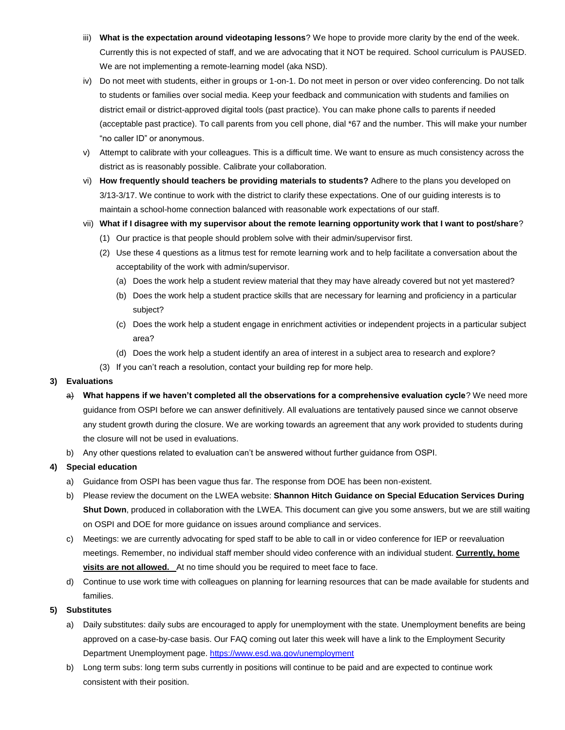- iii) **What is the expectation around videotaping lessons**? We hope to provide more clarity by the end of the week. Currently this is not expected of staff, and we are advocating that it NOT be required. School curriculum is PAUSED. We are not implementing a remote-learning model (aka NSD).
- iv) Do not meet with students, either in groups or 1-on-1. Do not meet in person or over video conferencing. Do not talk to students or families over social media. Keep your feedback and communication with students and families on district email or district-approved digital tools (past practice). You can make phone calls to parents if needed (acceptable past practice). To call parents from you cell phone, dial \*67 and the number. This will make your number "no caller ID" or anonymous.
- v) Attempt to calibrate with your colleagues. This is a difficult time. We want to ensure as much consistency across the district as is reasonably possible. Calibrate your collaboration.
- vi) **How frequently should teachers be providing materials to students?** Adhere to the plans you developed on 3/13-3/17. We continue to work with the district to clarify these expectations. One of our guiding interests is to maintain a school-home connection balanced with reasonable work expectations of our staff.
- vii) **What if I disagree with my supervisor about the remote learning opportunity work that I want to post/share**?
	- (1) Our practice is that people should problem solve with their admin/supervisor first.
	- (2) Use these 4 questions as a litmus test for remote learning work and to help facilitate a conversation about the acceptability of the work with admin/supervisor.
		- (a) Does the work help a student review material that they may have already covered but not yet mastered?
		- (b) Does the work help a student practice skills that are necessary for learning and proficiency in a particular subject?
		- (c) Does the work help a student engage in enrichment activities or independent projects in a particular subject area?
		- (d) Does the work help a student identify an area of interest in a subject area to research and explore?
	- (3) If you can't reach a resolution, contact your building rep for more help.

#### **3) Evaluations**

- a) What happens if we haven't completed all the observations for a comprehensive evaluation cycle? We need more guidance from OSPI before we can answer definitively. All evaluations are tentatively paused since we cannot observe any student growth during the closure. We are working towards an agreement that any work provided to students during the closure will not be used in evaluations.
- b) Any other questions related to evaluation can't be answered without further guidance from OSPI.

#### **4) Special education**

- a) Guidance from OSPI has been vague thus far. The response from DOE has been non-existent.
- b) Please review the document on the LWEA website: **Shannon Hitch Guidance on Special Education Services During Shut Down**, produced in collaboration with the LWEA. This document can give you some answers, but we are still waiting on OSPI and DOE for more guidance on issues around compliance and services.
- c) Meetings: we are currently advocating for sped staff to be able to call in or video conference for IEP or reevaluation meetings. Remember, no individual staff member should video conference with an individual student. **Currently, home visits are not allowed.** At no time should you be required to meet face to face.
- d) Continue to use work time with colleagues on planning for learning resources that can be made available for students and families.

#### **5) Substitutes**

- a) Daily substitutes: daily subs are encouraged to apply for unemployment with the state. Unemployment benefits are being approved on a case-by-case basis. Our FAQ coming out later this week will have a link to the Employment Security Department Unemployment page[. https://www.esd.wa.gov/unemployment](https://www.esd.wa.gov/unemployment)
- b) Long term subs: long term subs currently in positions will continue to be paid and are expected to continue work consistent with their position.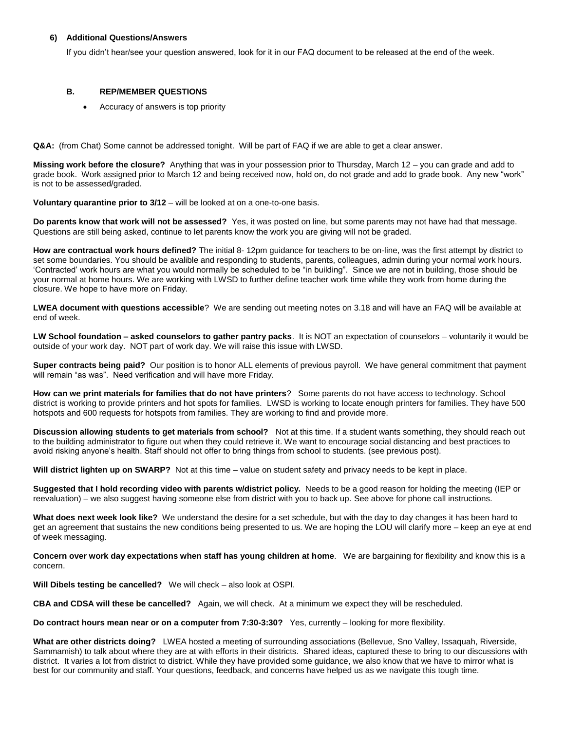#### **6) Additional Questions/Answers**

If you didn't hear/see your question answered, look for it in our FAQ document to be released at the end of the week.

#### **B. REP/MEMBER QUESTIONS**

Accuracy of answers is top priority

**Q&A:** (from Chat) Some cannot be addressed tonight. Will be part of FAQ if we are able to get a clear answer.

**Missing work before the closure?** Anything that was in your possession prior to Thursday, March 12 – you can grade and add to grade book. Work assigned prior to March 12 and being received now, hold on, do not grade and add to grade book. Any new "work" is not to be assessed/graded.

**Voluntary quarantine prior to 3/12** – will be looked at on a one-to-one basis.

**Do parents know that work will not be assessed?** Yes, it was posted on line, but some parents may not have had that message. Questions are still being asked, continue to let parents know the work you are giving will not be graded.

**How are contractual work hours defined?** The initial 8- 12pm guidance for teachers to be on-line, was the first attempt by district to set some boundaries. You should be avalible and responding to students, parents, colleagues, admin during your normal work hours. 'Contracted' work hours are what you would normally be scheduled to be "in building". Since we are not in building, those should be your normal at home hours. We are working with LWSD to further define teacher work time while they work from home during the closure. We hope to have more on Friday.

**LWEA document with questions accessible**? We are sending out meeting notes on 3.18 and will have an FAQ will be available at end of week.

**LW School foundation – asked counselors to gather pantry packs**. It is NOT an expectation of counselors – voluntarily it would be outside of your work day. NOT part of work day. We will raise this issue with LWSD.

**Super contracts being paid?** Our position is to honor ALL elements of previous payroll. We have general commitment that payment will remain "as was". Need verification and will have more Friday.

**How can we print materials for families that do not have printers**? Some parents do not have access to technology. School district is working to provide printers and hot spots for families. LWSD is working to locate enough printers for families. They have 500 hotspots and 600 requests for hotspots from families. They are working to find and provide more.

**Discussion allowing students to get materials from school?** Not at this time. If a student wants something, they should reach out to the building administrator to figure out when they could retrieve it. We want to encourage social distancing and best practices to avoid risking anyone's health. Staff should not offer to bring things from school to students. (see previous post).

**Will district lighten up on SWARP?** Not at this time – value on student safety and privacy needs to be kept in place.

**Suggested that I hold recording video with parents w/district policy.** Needs to be a good reason for holding the meeting (IEP or reevaluation) – we also suggest having someone else from district with you to back up. See above for phone call instructions.

**What does next week look like?** We understand the desire for a set schedule, but with the day to day changes it has been hard to get an agreement that sustains the new conditions being presented to us. We are hoping the LOU will clarify more – keep an eye at end of week messaging.

**Concern over work day expectations when staff has young children at home**. We are bargaining for flexibility and know this is a concern.

**Will Dibels testing be cancelled?** We will check – also look at OSPI.

**CBA and CDSA will these be cancelled?** Again, we will check. At a minimum we expect they will be rescheduled.

**Do contract hours mean near or on a computer from 7:30-3:30?** Yes, currently – looking for more flexibility.

**What are other districts doing?** LWEA hosted a meeting of surrounding associations (Bellevue, Sno Valley, Issaquah, Riverside, Sammamish) to talk about where they are at with efforts in their districts. Shared ideas, captured these to bring to our discussions with district. It varies a lot from district to district. While they have provided some guidance, we also know that we have to mirror what is best for our community and staff. Your questions, feedback, and concerns have helped us as we navigate this tough time.